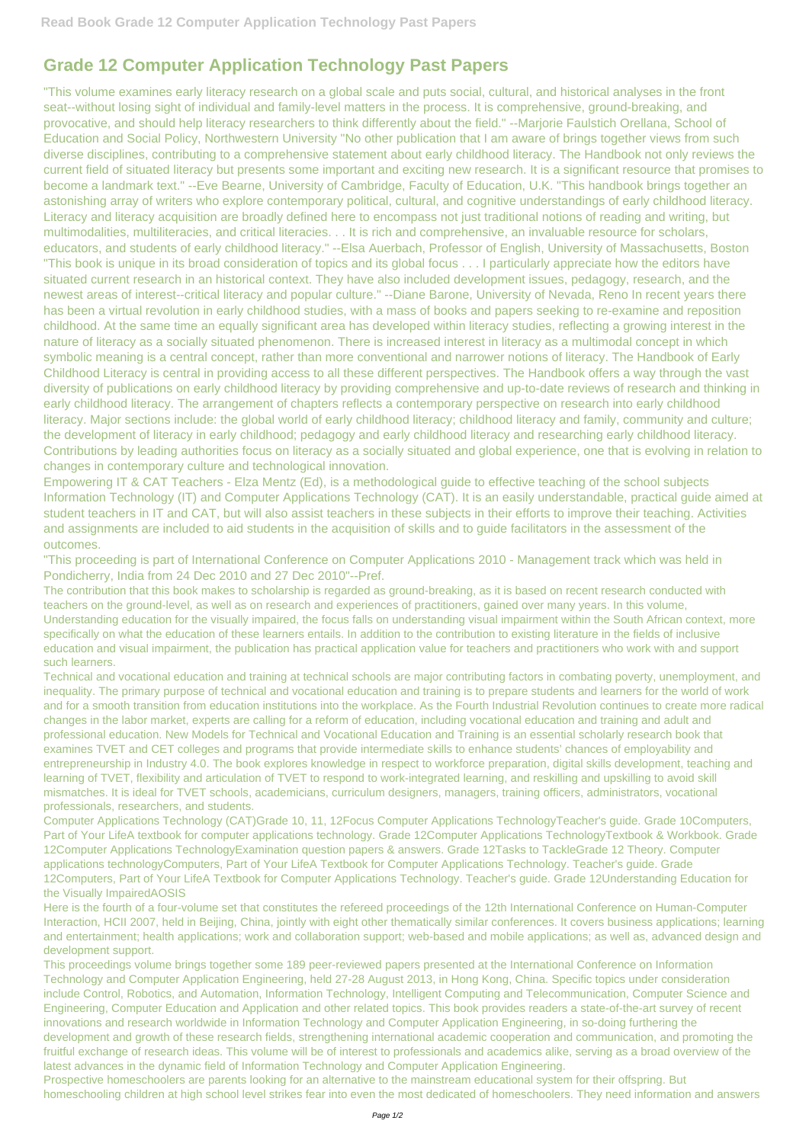## **Grade 12 Computer Application Technology Past Papers**

"This volume examines early literacy research on a global scale and puts social, cultural, and historical analyses in the front seat--without losing sight of individual and family-level matters in the process. It is comprehensive, ground-breaking, and provocative, and should help literacy researchers to think differently about the field." --Marjorie Faulstich Orellana, School of Education and Social Policy, Northwestern University "No other publication that I am aware of brings together views from such diverse disciplines, contributing to a comprehensive statement about early childhood literacy. The Handbook not only reviews the current field of situated literacy but presents some important and exciting new research. It is a significant resource that promises to become a landmark text." --Eve Bearne, University of Cambridge, Faculty of Education, U.K. "This handbook brings together an astonishing array of writers who explore contemporary political, cultural, and cognitive understandings of early childhood literacy. Literacy and literacy acquisition are broadly defined here to encompass not just traditional notions of reading and writing, but multimodalities, multiliteracies, and critical literacies. . . It is rich and comprehensive, an invaluable resource for scholars, educators, and students of early childhood literacy." --Elsa Auerbach, Professor of English, University of Massachusetts, Boston "This book is unique in its broad consideration of topics and its global focus . . . I particularly appreciate how the editors have situated current research in an historical context. They have also included development issues, pedagogy, research, and the newest areas of interest--critical literacy and popular culture." --Diane Barone, University of Nevada, Reno In recent years there has been a virtual revolution in early childhood studies, with a mass of books and papers seeking to re-examine and reposition childhood. At the same time an equally significant area has developed within literacy studies, reflecting a growing interest in the nature of literacy as a socially situated phenomenon. There is increased interest in literacy as a multimodal concept in which symbolic meaning is a central concept, rather than more conventional and narrower notions of literacy. The Handbook of Early Childhood Literacy is central in providing access to all these different perspectives. The Handbook offers a way through the vast diversity of publications on early childhood literacy by providing comprehensive and up-to-date reviews of research and thinking in early childhood literacy. The arrangement of chapters reflects a contemporary perspective on research into early childhood literacy. Major sections include: the global world of early childhood literacy; childhood literacy and family, community and culture; the development of literacy in early childhood; pedagogy and early childhood literacy and researching early childhood literacy. Contributions by leading authorities focus on literacy as a socially situated and global experience, one that is evolving in relation to changes in contemporary culture and technological innovation.

Empowering IT & CAT Teachers - Elza Mentz (Ed), is a methodological guide to effective teaching of the school subjects Information Technology (IT) and Computer Applications Technology (CAT). It is an easily understandable, practical guide aimed at student teachers in IT and CAT, but will also assist teachers in these subjects in their efforts to improve their teaching. Activities and assignments are included to aid students in the acquisition of skills and to guide facilitators in the assessment of the outcomes.

"This proceeding is part of International Conference on Computer Applications 2010 - Management track which was held in Pondicherry, India from 24 Dec 2010 and 27 Dec 2010"--Pref.

The contribution that this book makes to scholarship is regarded as ground-breaking, as it is based on recent research conducted with teachers on the ground-level, as well as on research and experiences of practitioners, gained over many years. In this volume, Understanding education for the visually impaired, the focus falls on understanding visual impairment within the South African context, more specifically on what the education of these learners entails. In addition to the contribution to existing literature in the fields of inclusive education and visual impairment, the publication has practical application value for teachers and practitioners who work with and support such learners.

Technical and vocational education and training at technical schools are major contributing factors in combating poverty, unemployment, and inequality. The primary purpose of technical and vocational education and training is to prepare students and learners for the world of work and for a smooth transition from education institutions into the workplace. As the Fourth Industrial Revolution continues to create more radical changes in the labor market, experts are calling for a reform of education, including vocational education and training and adult and professional education. New Models for Technical and Vocational Education and Training is an essential scholarly research book that examines TVET and CET colleges and programs that provide intermediate skills to enhance students' chances of employability and entrepreneurship in Industry 4.0. The book explores knowledge in respect to workforce preparation, digital skills development, teaching and learning of TVET, flexibility and articulation of TVET to respond to work-integrated learning, and reskilling and upskilling to avoid skill mismatches. It is ideal for TVET schools, academicians, curriculum designers, managers, training officers, administrators, vocational professionals, researchers, and students.

Computer Applications Technology (CAT)Grade 10, 11, 12Focus Computer Applications TechnologyTeacher's guide. Grade 10Computers, Part of Your LifeA textbook for computer applications technology. Grade 12Computer Applications TechnologyTextbook & Workbook. Grade 12Computer Applications TechnologyExamination question papers & answers. Grade 12Tasks to TackleGrade 12 Theory. Computer applications technologyComputers, Part of Your LifeA Textbook for Computer Applications Technology. Teacher's guide. Grade 12Computers, Part of Your LifeA Textbook for Computer Applications Technology. Teacher's guide. Grade 12Understanding Education for the Visually ImpairedAOSIS

Here is the fourth of a four-volume set that constitutes the refereed proceedings of the 12th International Conference on Human-Computer Interaction, HCII 2007, held in Beijing, China, jointly with eight other thematically similar conferences. It covers business applications; learning and entertainment; health applications; work and collaboration support; web-based and mobile applications; as well as, advanced design and development support.

This proceedings volume brings together some 189 peer-reviewed papers presented at the International Conference on Information Technology and Computer Application Engineering, held 27-28 August 2013, in Hong Kong, China. Specific topics under consideration include Control, Robotics, and Automation, Information Technology, Intelligent Computing and Telecommunication, Computer Science and Engineering, Computer Education and Application and other related topics. This book provides readers a state-of-the-art survey of recent innovations and research worldwide in Information Technology and Computer Application Engineering, in so-doing furthering the development and growth of these research fields, strengthening international academic cooperation and communication, and promoting the fruitful exchange of research ideas. This volume will be of interest to professionals and academics alike, serving as a broad overview of the latest advances in the dynamic field of Information Technology and Computer Application Engineering. Prospective homeschoolers are parents looking for an alternative to the mainstream educational system for their offspring. But homeschooling children at high school level strikes fear into even the most dedicated of homeschoolers. They need information and answers